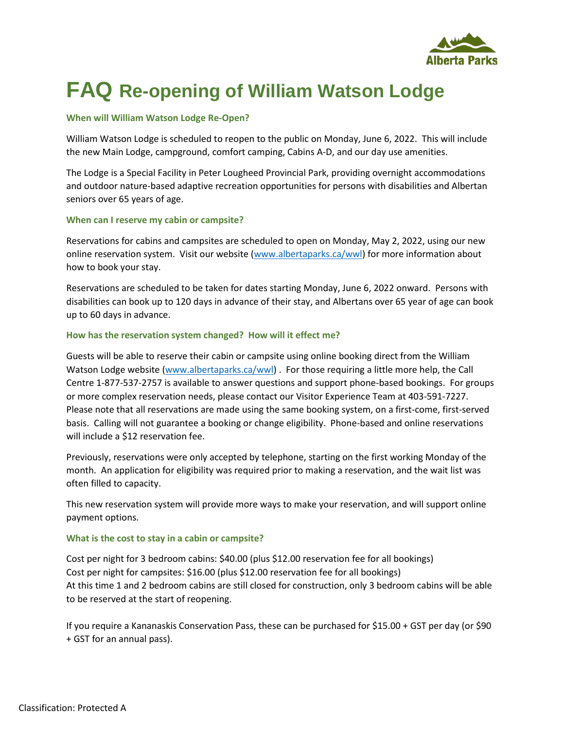

# **FAQ Re-opening of William Watson Lodge**

## **When will William Watson Lodge Re-Open?**

William Watson Lodge is scheduled to reopen to the public on Monday, June 6, 2022. This will include the new Main Lodge, campground, comfort camping, Cabins A-D, and our day use amenities.

The Lodge is a Special Facility in Peter Lougheed Provincial Park, providing overnight accommodations and outdoor nature-based adaptive recreation opportunities for persons with disabilities and Albertan seniors over 65 years of age.

## **When can I reserve my cabin or campsite?**

Reservations for cabins and campsites are scheduled to open on Monday, May 2, 2022, using our new online reservation system. Visit our website [\(www.albertaparks.ca/wwl\)](http://www.albertaparks.ca/wwl) for more information about how to book your stay.

Reservations are scheduled to be taken for dates starting Monday, June 6, 2022 onward. Persons with disabilities can book up to 120 days in advance of their stay, and Albertans over 65 year of age can book up to 60 days in advance.

# **How has the reservation system changed? How will it effect me?**

Guests will be able to reserve their cabin or campsite using online booking direct from the William Watson Lodge website [\(www.albertaparks.ca/wwl\)](http://www.albertaparks.ca/wwl). For those requiring a little more help, the Call Centre 1-877-537-2757 is available to answer questions and support phone-based bookings. For groups or more complex reservation needs, please contact our Visitor Experience Team at 403-591-7227. Please note that all reservations are made using the same booking system, on a first-come, first-served basis. Calling will not guarantee a booking or change eligibility. Phone-based and online reservations will include a \$12 reservation fee.

Previously, reservations were only accepted by telephone, starting on the first working Monday of the month. An application for eligibility was required prior to making a reservation, and the wait list was often filled to capacity.

This new reservation system will provide more ways to make your reservation, and will support online payment options.

# **What is the cost to stay in a cabin or campsite?**

Cost per night for 3 bedroom cabins: \$40.00 (plus \$12.00 reservation fee for all bookings) Cost per night for campsites: \$16.00 (plus \$12.00 reservation fee for all bookings) At this time 1 and 2 bedroom cabins are still closed for construction, only 3 bedroom cabins will be able to be reserved at the start of reopening.

If you require a Kananaskis Conservation Pass, these can be purchased for \$15.00 + GST per day (or \$90 + GST for an annual pass).